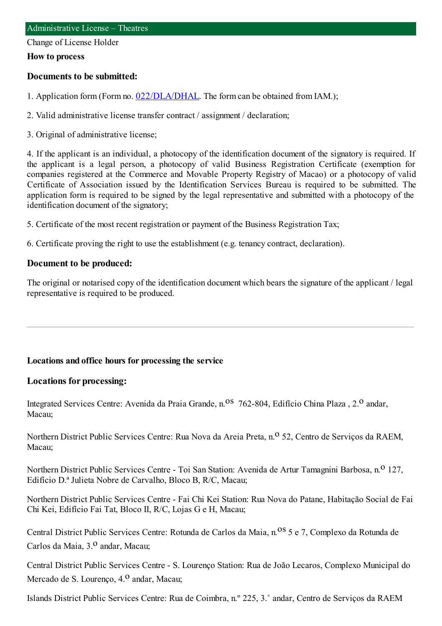Change of License Holder

#### **How to process**

#### **Documents to be submitted:**

1. Application form (Form no. [022/DLA/DHAL](https://www.iam.gov.mo/c/pdf/eformDetail/PDF1013). The form can be obtained from IAM.);

2. Valid administrative license transfer contract / assignment / declaration;

3. Original of administrative license;

4. If the applicant is an individual, a photocopy of the identification document of the signatory is required. If the applicant is a legal person, a photocopy of valid Business Registration Certificate (exemption for companies registered at the Commerce and Movable Property Registry of Macao) or a photocopy of valid Certificate of Association issued by the Identification Services Bureau is required to be submitted. The application form is required to be signed by the legal representative and submitted with a photocopy of the identification document of the signatory;

5. Certificate of the most recent registration or payment of the Business Registration Tax;

6. Certificate proving the right to use the establishment (e.g. tenancy contract, declaration).

#### **Document to be produced:**

The original or notarised copy of the identification document which bears the signature of the applicant / legal representative is required to be produced.

#### **Locations and office hours for processing the service**

#### **Locations for processing:**

Integrated Services Centre: Avenida da Praia Grande, n.<sup>08</sup> 762-804, Edifício China Plaza, 2.<sup>0</sup> andar, Macau;

Northern District Public Services Centre: Rua Nova da Areia Preta, n.<sup>o</sup> 52, Centro de Servicos da RAEM, Macau;

Northern District Public Services Centre - Toi San Station: Avenida de Artur Tamagnini Barbosa, n.<sup>0</sup> 127, Edifício D.ª Julieta Nobre de Carvalho, Bloco B, R/C, Macau;

Northern District Public Services Centre - Fai Chi Kei Station: Rua Nova do Patane, Habitação Social de Fai Chi Kei, Edifício Fai Tat, Bloco II, R/C, Lojas G e H, Macau;

Central District Public Services Centre: Rotunda de Carlos da Maia, n.<sup>08</sup> 5 e 7, Complexo da Rotunda de Carlos da Maia, 3.<sup>0</sup> andar, Macau;

Central District Public Services Centre - S. Lourenço Station: Rua de João Lecaros, Complexo Municipal do Mercado de S. Lourenço, 4.<sup>0</sup> andar, Macau;

Islands District Public Services Centre: Rua de Coimbra, n.º 225, 3.˚ andar, Centro de Serviços da RAEM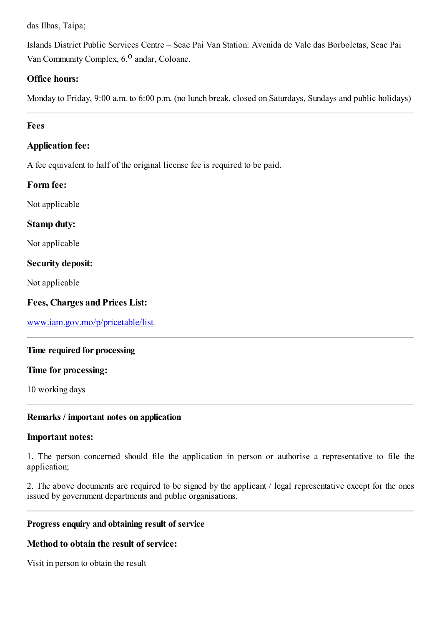das Ilhas, Taipa;

Islands District Public Services Centre – Seac Pai Van Station: Avenida de Vale das Borboletas, Seac Pai Van Community Complex, 6.<sup>0</sup> andar, Coloane.

## **Office hours:**

Monday to Friday, 9:00 a.m. to 6:00 p.m. (no lunch break, closed on Saturdays, Sundays and public holidays)

#### **Fees**

## **Application fee:**

A fee equivalent to half of the original license fee is required to be paid.

## **Form fee:**

Not applicable

# **Stamp duty:**

Not applicable

## **Security deposit:**

Not applicable

# **Fees, Charges and Prices List:**

[www.iam.gov.mo/p/pricetable/list](http://www.iam.gov.mo/p/pricetable/list)

## **Time required for processing**

#### **Time for processing:**

10 working days

## **Remarks / important notes on application**

## **Important notes:**

1. The person concerned should file the application in person or authorise a representative to file the application;

2. The above documents are required to be signed by the applicant / legal representative except for the ones issued by government departments and public organisations.

## **Progress enquiry and obtaining result of service**

## **Method to obtain the result of service:**

Visit in person to obtain the result